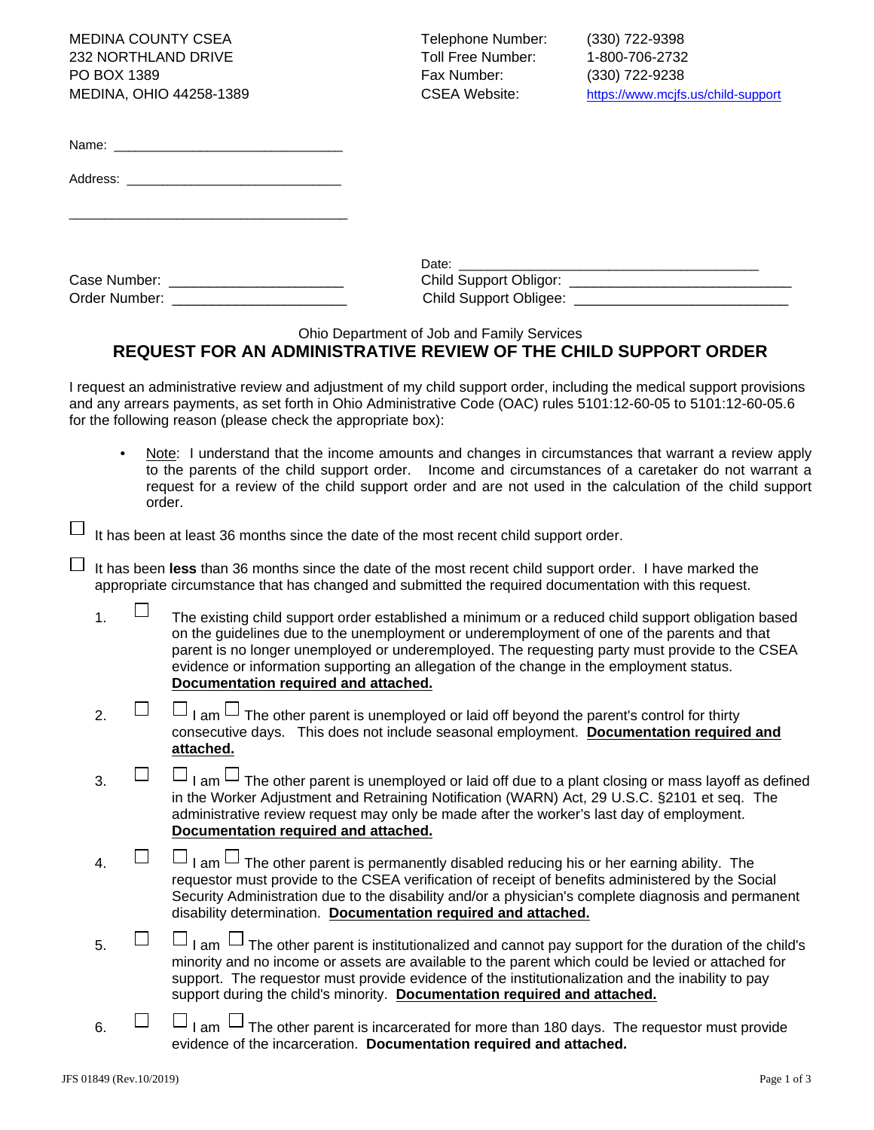MEDINA COUNTY CSEA Telephone Number: (330) 722-9398 232 NORTHLAND DRIVE TO THE TOLL Free Number: 1-800-706-2732 PO BOX 1389 Fax Number: (330) 722-9238

MEDINA, OHIO 44258-1389 CSEA Website: https://www.mcjfs.us/child-support

| Name: |  |
|-------|--|
|       |  |

Address:

\_\_\_\_\_\_\_\_\_\_\_\_\_\_\_\_\_\_\_\_\_\_\_\_\_\_\_\_\_\_\_\_\_\_\_\_\_\_\_

| Case Number:  |  |
|---------------|--|
| Order Number: |  |

|               | Date:                         |
|---------------|-------------------------------|
| Case Number:  | <b>Child Support Obligor:</b> |
| Order Number: | <b>Child Support Obligee:</b> |

Ohio Department of Job and Family Services

## **REQUEST FOR AN ADMINISTRATIVE REVIEW OF THE CHILD SUPPORT ORDER**

I request an administrative review and adjustment of my child support order, including the medical support provisions and any arrears payments, as set forth in Ohio Administrative Code (OAC) rules 5101:12-60-05 to 5101:12-60-05.6 for the following reason (please check the appropriate box):

- Note: I understand that the income amounts and changes in circumstances that warrant a review apply to the parents of the child support order. Income and circumstances of a caretaker do not warrant a request for a review of the child support order and are not used in the calculation of the child support order.
- It has been at least 36 months since the date of the most recent child support order.

ப It has been **less** than 36 months since the date of the most recent child support order. I have marked the appropriate circumstance that has changed and submitted the required documentation with this request.

- 1.  $\Box$  The existing child support order established a minimum or a reduced child support obligation based on the guidelines due to the unemployment or underemployment of one of the parents and that parent is no longer unemployed or underemployed. The requesting party must provide to the CSEA evidence or information supporting an allegation of the change in the employment status. **Documentation required and attached.**
- 2.  $\Box$  I am  $\Box$  The other parent is unemployed or laid off beyond the parent's control for thirty consecutive days. This does not include seasonal employment. **Documentation required and attached.**
- 3.  $\Box$  I am  $\Box$  The other parent is unemployed or laid off due to a plant closing or mass layoff as defined in the Worker Adjustment and Retraining Notification (WARN) Act, 29 U.S.C. §2101 et seq. The administrative review request may only be made after the worker's last day of employment. **Documentation required and attached.**
- $\Box$   $\Box$  am  $\Box$  The other parent is permanently disabled reducing his or her earning ability. The requestor must provide to the CSEA verification of receipt of benefits administered by the Social Security Administration due to the disability and/or a physician's complete diagnosis and permanent disability determination. **Documentation required and attached.**
- $5.$   $\Box$  I am  $\Box$  The other parent is institutionalized and cannot pay support for the duration of the child's minority and no income or assets are available to the parent which could be levied or attached for support. The requestor must provide evidence of the institutionalization and the inability to pay support during the child's minority. **Documentation required and attached.**
- $\overline{6.}$   $\Box$   $\Box$  I am  $\Box$  The other parent is incarcerated for more than 180 days. The requestor must provide evidence of the incarceration. **Documentation required and attached.**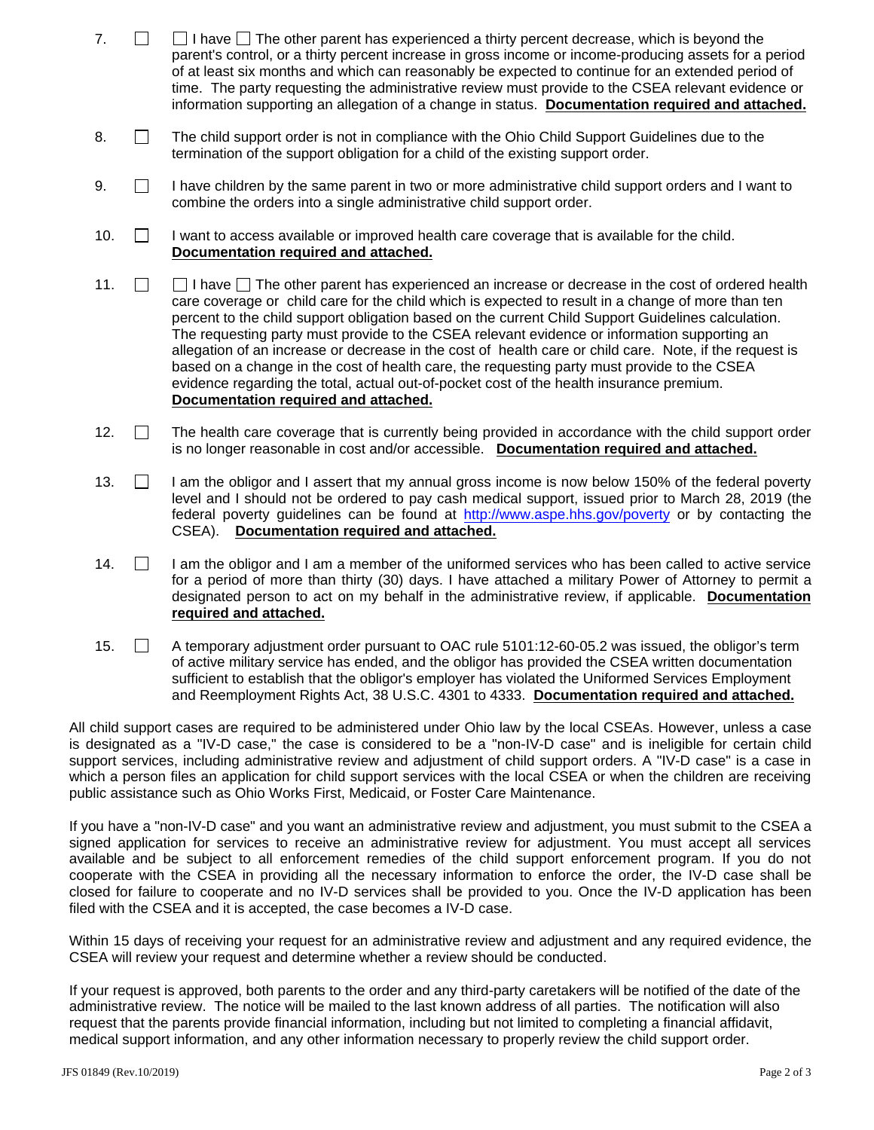- 7.  $\Box$  I have  $\Box$  The other parent has experienced a thirty percent decrease, which is beyond the parent's control, or a thirty percent increase in gross income or income-producing assets for a period of at least six months and which can reasonably be expected to continue for an extended period of time. The party requesting the administrative review must provide to the CSEA relevant evidence or information supporting an allegation of a change in status. **Documentation required and attached.**
- 8.  $\Box$  The child support order is not in compliance with the Ohio Child Support Guidelines due to the termination of the support obligation for a child of the existing support order.
- $9.$  I have children by the same parent in two or more administrative child support orders and I want to combine the orders into a single administrative child support order.
- 10.  $\Box$  I want to access available or improved health care coverage that is available for the child. **Documentation required and attached.**
- 11.  $\Box$  I have  $\Box$  The other parent has experienced an increase or decrease in the cost of ordered health care coverage or child care for the child which is expected to result in a change of more than ten percent to the child support obligation based on the current Child Support Guidelines calculation. The requesting party must provide to the CSEA relevant evidence or information supporting an allegation of an increase or decrease in the cost of health care or child care. Note, if the request is based on a change in the cost of health care, the requesting party must provide to the CSEA evidence regarding the total, actual out-of-pocket cost of the health insurance premium. **Documentation required and attached.**
- 12.  $\Box$  The health care coverage that is currently being provided in accordance with the child support order is no longer reasonable in cost and/or accessible. **Documentation required and attached.**
- 13. **I** am the obligor and I assert that my annual gross income is now below 150% of the federal poverty level and I should not be ordered to pay cash medical support, issued prior to March 28, 2019 (the federal poverty guidelines can be found at http://www.aspe.hhs.gov/poverty or by contacting the CSEA). **Documentation required and attached.**
- $14.$  I am the obligor and I am a member of the uniformed services who has been called to active service for a period of more than thirty (30) days. I have attached a military Power of Attorney to permit a designated person to act on my behalf in the administrative review, if applicable. **Documentation required and attached.**
- 15. **A temporary adjustment order pursuant to OAC rule 5101:12-60-05.2 was issued, the obligor's term** of active military service has ended, and the obligor has provided the CSEA written documentation sufficient to establish that the obligor's employer has violated the Uniformed Services Employment and Reemployment Rights Act, 38 U.S.C. 4301 to 4333. **Documentation required and attached.**

All child support cases are required to be administered under Ohio law by the local CSEAs. However, unless a case is designated as a "IV-D case," the case is considered to be a "non-IV-D case" and is ineligible for certain child support services, including administrative review and adjustment of child support orders. A "IV-D case" is a case in which a person files an application for child support services with the local CSEA or when the children are receiving public assistance such as Ohio Works First, Medicaid, or Foster Care Maintenance.

If you have a "non-IV-D case" and you want an administrative review and adjustment, you must submit to the CSEA a signed application for services to receive an administrative review for adjustment. You must accept all services available and be subject to all enforcement remedies of the child support enforcement program. If you do not cooperate with the CSEA in providing all the necessary information to enforce the order, the IV-D case shall be closed for failure to cooperate and no IV-D services shall be provided to you. Once the IV-D application has been filed with the CSEA and it is accepted, the case becomes a IV-D case.

Within 15 days of receiving your request for an administrative review and adjustment and any required evidence, the CSEA will review your request and determine whether a review should be conducted.

If your request is approved, both parents to the order and any third-party caretakers will be notified of the date of the administrative review. The notice will be mailed to the last known address of all parties. The notification will also request that the parents provide financial information, including but not limited to completing a financial affidavit, medical support information, and any other information necessary to properly review the child support order.